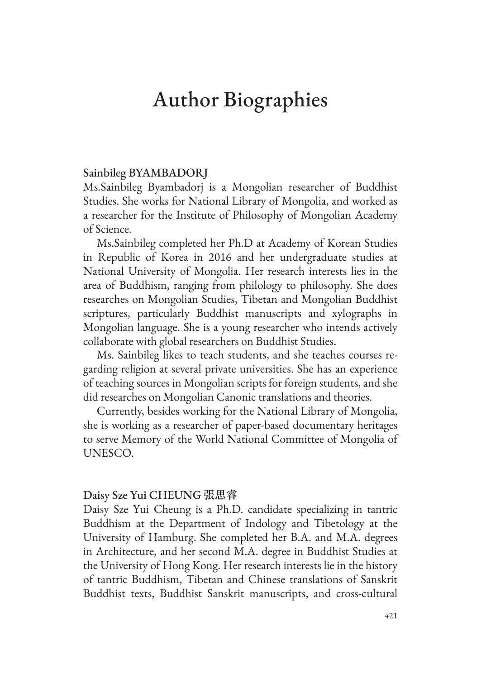# Author Biographies

## Sainbileg BYAMBADORJ

Ms.Sainbileg Byambadorj is a Mongolian researcher of Buddhist Studies. She works for National Library of Mongolia, and worked as a researcher for the Institute of Philosophy of Mongolian Academy of Science.

Ms.Sainbileg completed her Ph.D at Academy of Korean Studies in Republic of Korea in 2016 and her undergraduate studies at National University of Mongolia. Her research interests lies in the area of Buddhism, ranging from philology to philosophy. She does researches on Mongolian Studies, Tibetan and Mongolian Buddhist scriptures, particularly Buddhist manuscripts and xylographs in Mongolian language. She is a young researcher who intends actively collaborate with global researchers on Buddhist Studies.

Ms. Sainbileg likes to teach students, and she teaches courses regarding religion at several private universities. She has an experience of teaching sources in Mongolian scripts for foreign students, and she did researches on Mongolian Canonic translations and theories.

Currently, besides working for the National Library of Mongolia, she is working as a researcher of paper-based documentary heritages to serve Memory of the World National Committee of Mongolia of UNESCO.

#### Daisy Sze Yui CHEUNG **張思睿**

Daisy Sze Yui Cheung is a Ph.D. candidate specializing in tantric Buddhism at the Department of Indology and Tibetology at the University of Hamburg. She completed her B.A. and M.A. degrees in Architecture, and her second M.A. degree in Buddhist Studies at the University of Hong Kong. Her research interests lie in the history of tantric Buddhism, Tibetan and Chinese translations of Sanskrit Buddhist texts, Buddhist Sanskrit manuscripts, and cross-cultural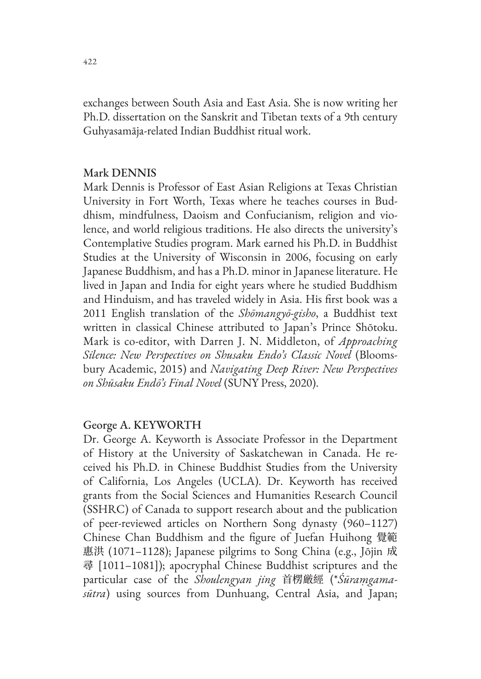exchanges between South Asia and East Asia. She is now writing her Ph.D. dissertation on the Sanskrit and Tibetan texts of a 9th century Guhyasamāja-related Indian Buddhist ritual work.

## Mark DENNIS

Mark Dennis is Professor of East Asian Religions at Texas Christian University in Fort Worth, Texas where he teaches courses in Buddhism, mindfulness, Daoism and Confucianism, religion and violence, and world religious traditions. He also directs the university's Contemplative Studies program. Mark earned his Ph.D. in Buddhist Studies at the University of Wisconsin in 2006, focusing on early Japanese Buddhism, and has a Ph.D. minor in Japanese literature. He lived in Japan and India for eight years where he studied Buddhism and Hinduism, and has traveled widely in Asia. His first book was a 2011 English translation of the *Shōmangyō-gisho*, a Buddhist text written in classical Chinese attributed to Japan's Prince Shōtoku. Mark is co-editor, with Darren J. N. Middleton, of *Approaching Silence: New Perspectives on Shusaku Endo's Classic Novel* (Bloomsbury Academic, 2015) and *Navigating Deep River: New Perspectives on Shūsaku Endō's Final Novel* (SUNY Press, 2020).

## George A. KEYWORTH

Dr. George A. Keyworth is Associate Professor in the Department of History at the University of Saskatchewan in Canada. He received his Ph.D. in Chinese Buddhist Studies from the University of California, Los Angeles (UCLA). Dr. Keyworth has received grants from the Social Sciences and Humanities Research Council (SSHRC) of Canada to support research about and the publication of peer-reviewed articles on Northern Song dynasty (960–1127) Chinese Chan Buddhism and the figure of Juefan Huihong 覺範 惠洪 (1071–1128); Japanese pilgrims to Song China (e.g., Jōjin 成 尋 [1011–1081]); apocryphal Chinese Buddhist scriptures and the particular case of the *Shoulengyan jing* 首楞厳經 (\**Śūraṃgamasūtra*) using sources from Dunhuang, Central Asia, and Japan;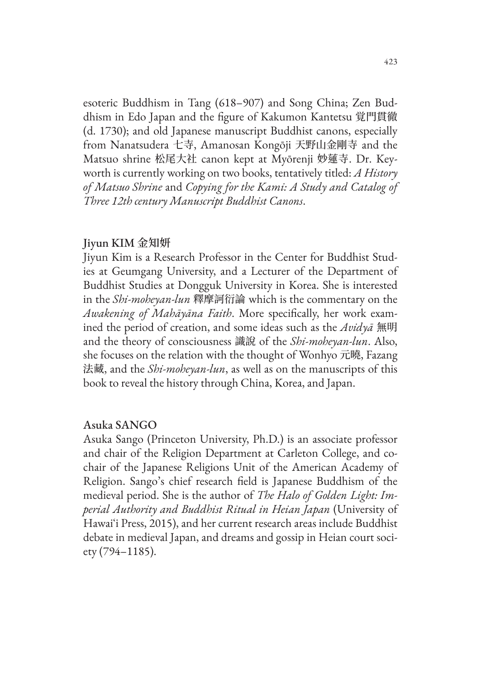esoteric Buddhism in Tang (618–907) and Song China; Zen Buddhism in Edo Japan and the figure of Kakumon Kantetsu 覚門貫徹 (d. 1730); and old Japanese manuscript Buddhist canons, especially from Nanatsudera 七寺, Amanosan Kongōji 天野山金剛寺 and the Matsuo shrine 松尾大社 canon kept at Myōrenji 妙蓮寺. Dr. Keyworth is currently working on two books, tentatively titled: *A History of Matsuo Shrine* and *Copying for the Kami: A Study and Catalog of Three 12th century Manuscript Buddhist Canons*.

## Jiyun KIM **金知妍**

Jiyun Kim is a Research Professor in the Center for Buddhist Studies at Geumgang University, and a Lecturer of the Department of Buddhist Studies at Dongguk University in Korea. She is interested in the *Shi-moheyan-lun* 釋摩訶衍論 which is the commentary on the *Awakening of Mahāyāna Faith*. More specifically, her work examined the period of creation, and some ideas such as the *Avidyā* 無明 and the theory of consciousness 識說 of the *Shi-moheyan-lun*. Also, she focuses on the relation with the thought of Wonhyo 元曉, Fazang 法藏, and the *Shi-moheyan-lun*, as well as on the manuscripts of this book to reveal the history through China, Korea, and Japan.

## Asuka SANGO

Asuka Sango (Princeton University, Ph.D.) is an associate professor and chair of the Religion Department at Carleton College, and cochair of the Japanese Religions Unit of the American Academy of Religion. Sango's chief research field is Japanese Buddhism of the medieval period. She is the author of *The Halo of Golden Light: Imperial Authority and Buddhist Ritual in Heian Japan* (University of Hawaiʻi Press, 2015), and her current research areas include Buddhist debate in medieval Japan, and dreams and gossip in Heian court society (794–1185).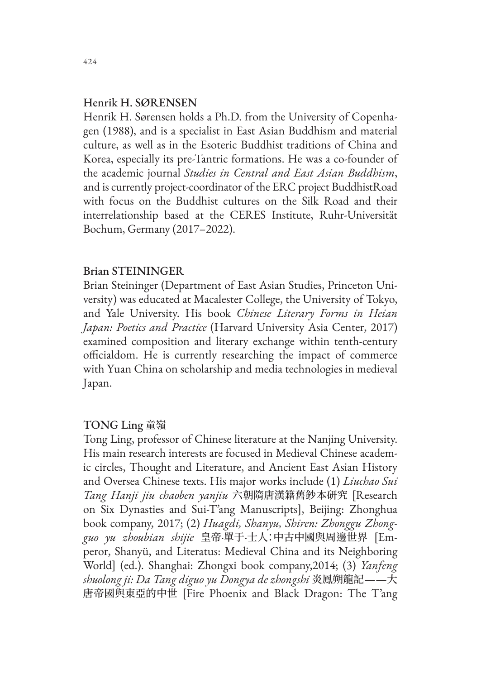### Henrik H. SØRENSEN

Henrik H. Sørensen holds a Ph.D. from the University of Copenhagen (1988), and is a specialist in East Asian Buddhism and material culture, as well as in the Esoteric Buddhist traditions of China and Korea, especially its pre-Tantric formations. He was a co-founder of the academic journal *Studies in Central and East Asian Buddhism*, and is currently project-coordinator of the ERC project BuddhistRoad with focus on the Buddhist cultures on the Silk Road and their interrelationship based at the CERES Institute, Ruhr-Universität Bochum, Germany (2017–2022).

## Brian STEININGER

Brian Steininger (Department of East Asian Studies, Princeton University) was educated at Macalester College, the University of Tokyo, and Yale University. His book *Chinese Literary Forms in Heian Japan: Poetics and Practice* (Harvard University Asia Center, 2017) examined composition and literary exchange within tenth-century officialdom. He is currently researching the impact of commerce with Yuan China on scholarship and media technologies in medieval Japan.

## TONG Ling 童嶺

Tong Ling, professor of Chinese literature at the Nanjing University. His main research interests are focused in Medieval Chinese academic circles, Thought and Literature, and Ancient East Asian History and Oversea Chinese texts. His major works include (1) *Liuchao Sui Tang Hanji jiu chaoben yanjiu* 六朝隋唐漢籍舊鈔本研究 [Research on Six Dynasties and Sui-T'ang Manuscripts], Beijing: Zhonghua book company, 2017; (2) *Huagdi, Shanyu, Shiren: Zhonggu Zhongguo yu zhoubian shijie* 皇帝·單于·士人:中古中國與周邊世界 [Emperor, Shanyü, and Literatus: Medieval China and its Neighboring World] (ed.). Shanghai: Zhongxi book company,2014; (3) *Yanfeng shuolong ji: Da Tang diguo yu Dongya de zhongshi* 炎鳳朔龍記——大 唐帝國與東亞的中世 [Fire Phoenix and Black Dragon: The T'ang